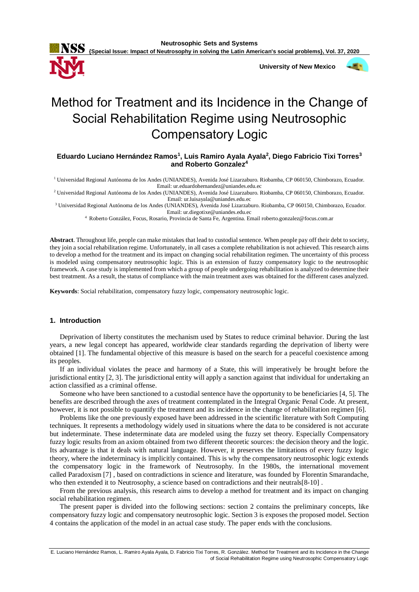**{Special Issue: Impact of Neutrosophy in solving the Latin American's social problems}, Vol. 37, 2020**



 **University of New Mexico**



# Method for Treatment and its Incidence in the Change of Social Rehabilitation Regime using Neutrosophic Compensatory Logic

**Eduardo Luciano Hernández Ramos<sup>1</sup> , Luis Ramiro Ayala Ayala<sup>2</sup> , Diego Fabricio Tixi Torres<sup>3</sup> and Roberto Gonzalez 4**

<sup>1</sup> Universidad Regional Autónoma de los Andes (UNIANDES), Avenida José Lizarzaburo. Riobamba, CP 060150, Chimborazo, Ecuador. Email: ur.eduardohernandez@uniandes.edu.ec

<sup>2</sup> Universidad Regional Autónoma de los Andes (UNIANDES), Avenida José Lizarzaburo. Riobamba, CP 060150, Chimborazo, Ecuador. Email: ur.luisayala@uniandes.edu.ec

<sup>3</sup> Universidad Regional Autónoma de los Andes (UNIANDES), Avenida José Lizarzaburo. Riobamba, CP 060150, Chimborazo, Ecuador. Email: ur.diegotixe@uniandes.edu.ec

<sup>4</sup>Roberto González, Focus, Rosario, Provincia de Santa Fe, Argentina. Email roberto.gonzalez@focus.com.ar

**Abstract**. Throughout life, people can make mistakes that lead to custodial sentence. When people pay off their debt to society, they join a social rehabilitation regime. Unfortunately, in all cases a complete rehabilitation is not achieved. This research aims to develop a method for the treatment and its impact on changing social rehabilitation regimen. The uncertainty of this process is modeled using compensatory neutrosophic logic. This is an extension of fuzzy compensatory logic to the neutrosophic framework. A case study is implemented from which a group of people undergoing rehabilitation is analyzed to determine their best treatment. As a result, the status of compliance with the main treatment axes was obtained for the different cases analyzed.

**Keywords**: Social rehabilitation, compensatory fuzzy logic, compensatory neutrosophic logic.

# **1. Introduction**

Deprivation of liberty constitutes the mechanism used by States to reduce criminal behavior. During the last years, a new legal concept has appeared, worldwide clear standards regarding the deprivation of liberty were obtained [1]. The fundamental objective of this measure is based on the search for a peaceful coexistence among its peoples.

If an individual violates the peace and harmony of a State, this will imperatively be brought before the jurisdictional entity [2, 3]. The jurisdictional entity will apply a sanction against that individual for undertaking an action classified as a criminal offense.

Someone who have been sanctioned to a custodial sentence have the opportunity to be beneficiaries [4, 5]. The benefits are described through the axes of treatment contemplated in the Integral Organic Penal Code. At present, however, it is not possible to quantify the treatment and its incidence in the change of rehabilitation regimen [6].

Problems like the one previously exposed have been addressed in the scientific literature with Soft Computing techniques. It represents a methodology widely used in situations where the data to be considered is not accurate but indeterminate. These indeterminate data are modeled using the fuzzy set theory. Especially Compensatory fuzzy logic results from an axiom obtained from two different theoretic sources: the decision theory and the logic. Its advantage is that it deals with natural language. However, it preserves the limitations of every fuzzy logic theory, where the indeterminacy is implicitly contained. This is why the compensatory neutrosophic logic extends the compensatory logic in the framework of Neutrosophy. In the 1980s, the international movement called Paradoxism [7] , based on contradictions in science and literature, was founded by Florentin Smarandache, who then extended it to Neutrosophy, a science based on contradictions and their neutrals[8-10] .

From the previous analysis, this research aims to develop a method for treatment and its impact on changing social rehabilitation regimen.

The present paper is divided into the following sections: section 2 contains the preliminary concepts, like compensatory fuzzy logic and compensatory neutrosophic logic. Section 3 is exposes the proposed model. Section 4 contains the application of the model in an actual case study. The paper ends with the conclusions.

E. Luciano Hernández Ramos, L. Ramiro Ayala Ayala, D. Fabricio Tixi Torres, R. González. Method for Treatment and its Incidence in the Change of Social Rehabilitation Regime using Neutrosophic Compensatory Logic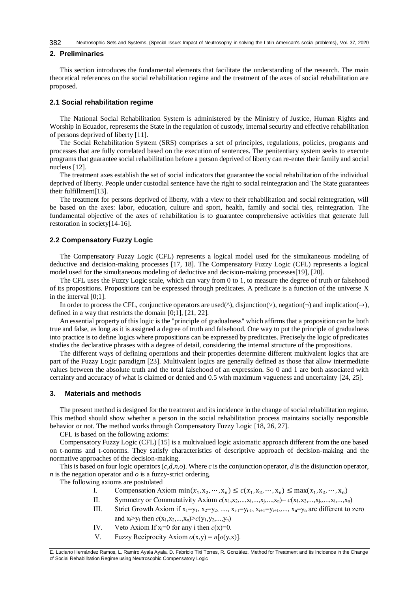### **2. Preliminaries**

This section introduces the fundamental elements that facilitate the understanding of the research. The main theoretical references on the social rehabilitation regime and the treatment of the axes of social rehabilitation are proposed.

#### **2.1 Social rehabilitation regime**

The National Social Rehabilitation System is administered by the Ministry of Justice, Human Rights and Worship in Ecuador, represents the State in the regulation of custody, internal security and effective rehabilitation of persons deprived of liberty [11].

The Social Rehabilitation System (SRS) comprises a set of principles, regulations, policies, programs and processes that are fully correlated based on the execution of sentences. The penitentiary system seeks to execute programs that guarantee social rehabilitation before a person deprived of liberty can re-enter their family and social nucleus [12].

The treatment axes establish the set of social indicators that guarantee the social rehabilitation of the individual deprived of liberty. People under custodial sentence have the right to social reintegration and The State guarantees their fulfillment[13].

The treatment for persons deprived of liberty, with a view to their rehabilitation and social reintegration, will be based on the axes: labor, education, culture and sport, health, family and social ties, reintegration. The fundamental objective of the axes of rehabilitation is to guarantee comprehensive activities that generate full restoration in society[14-16].

#### **2.2 Compensatory Fuzzy Logic**

The Compensatory Fuzzy Logic (CFL) represents a logical model used for the simultaneous modeling of deductive and decision-making processes [17, 18]. The Compensatory Fuzzy Logic (CFL) represents a logical model used for the simultaneous modeling of deductive and decision-making processes[19], [20].

The CFL uses the Fuzzy Logic scale, which can vary from 0 to 1, to measure the degree of truth or falsehood of its propositions. Propositions can be expressed through predicates. A predicate is a function of the universe X in the interval [0;1].

In order to process the CFL, conjunctive operators are used( $\land$ ), disjunction( $\lor$ ), negation( $\neg$ ) and implication( $\rightarrow$ ), defined in a way that restricts the domain [0;1], [21, 22].

An essential property of this logic is the "principle of gradualness" which affirms that a proposition can be both true and false, as long as it is assigned a degree of truth and falsehood. One way to put the principle of gradualness into practice is to define logics where propositions can be expressed by predicates. Precisely the logic of predicates studies the declarative phrases with a degree of detail, considering the internal structure of the propositions.

The different ways of defining operations and their properties determine different multivalent logics that are part of the Fuzzy Logic paradigm [23]. Multivalent logics are generally defined as those that allow intermediate values between the absolute truth and the total falsehood of an expression. So 0 and 1 are both associated with certainty and accuracy of what is claimed or denied and 0.5 with maximum vagueness and uncertainty [24, 25].

## **3. Materials and methods**

The present method is designed for the treatment and its incidence in the change of social rehabilitation regime. This method should show whether a person in the social rehabilitation process maintains socially responsible behavior or not. The method works through Compensatory Fuzzy Logic [18, 26, 27].

CFL is based on the following axioms:

Compensatory Fuzzy Logic (CFL) [15] is a multivalued logic axiomatic approach different from the one based on t-norms and t-conorms. They satisfy characteristics of descriptive approach of decision-making and the normative approaches of the decision-making.

This is based on four logic operators (*c*,*d*,*n*,*o*). Where *c* is the conjunction operator, *d* is the disjunction operator, *n* is the negation operator and *o* is a fuzzy-strict ordering.

The following axioms are postulated

- I. Compensation Axiom  $\min(x_1, x_2, \dots, x_n) \leq c(x_1, x_2, \dots, x_n) \leq \max(x_1, x_2, \dots, x_n)$
- II. Symmetry or Commutativity Axiom  $c(x_1, x_2, \ldots, x_i, \ldots, x_i, \ldots, x_n) = c(x_1, x_2, \ldots, x_i, \ldots, x_i, \ldots, x_n)$
- III. Strict Growth Axiom if  $x_1=y_1, x_2=y_2, ..., x_{i-1}=y_{i-1}, x_{i+1}=y_{i+1}, ..., x_n=y_n$  are different to zero and  $x_i > y_i$  then  $c(x_1, x_2, ..., x_n) > c(y_1, y_2, ..., y_n)$
- IV. Veto Axiom If  $x_i=0$  for any i then  $c(x)=0$ .
- V. Fuzzy Reciprocity Axiom  $o(x,y) = n[o(y,x)]$ .

E. Luciano Hernández Ramos, L. Ramiro Ayala Ayala, D. Fabricio Tixi Torres, R. González. Method for Treatment and its Incidence in the Change of Social Rehabilitation Regime using Neutrosophic Compensatory Logic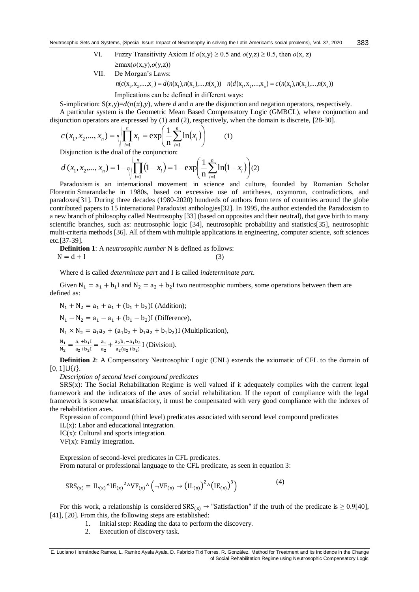- VI. Fuzzy Transitivity Axiom If  $o(x, y) \ge 0.5$  and  $o(y, z) \ge 0.5$ , then  $o(x, z)$ max(*o*(x,y),*o*(y,z))
- VII. De Morgan's Laws:  $n(c(\mathbf{X}_1, \mathbf{X}_2, ..., \mathbf{X}_n) = d(n(\mathbf{X}_1), n(\mathbf{X}_2), ..., n(\mathbf{X}_n))$   $n(d(\mathbf{X}_1, \mathbf{X}_2, ..., \mathbf{X}_n) = c(n(\mathbf{X}_1), n(\mathbf{X}_2), ..., n(\mathbf{X}_n))$

Implications can be defined in different ways:

S-implication:  $S(x,y)=d(n(x),y)$ , where *d* and *n* are the disjunction and negation operators, respectively.

A particular system is the Geometric Mean Based Compensatory Logic (GMBCL), where conjunction and disjunction operators are expressed by (1) and (2), respectively, when the domain is discrete, [28-30].

$$
c(x_1, x_2, ..., x_n) = \sqrt[n]{\prod_{i=1}^{n} x_i} = \exp\left(\frac{1}{n} \sum_{i=1}^{n} \ln(x_i)\right)
$$
(1)

Disjunction is the dual of the conjunction:

$$
d(x_1, x_2,..., x_n) = 1 - \sqrt{\prod_{i=1}^{n} (1 - x_i)} = 1 - \exp\left(\frac{1}{n} \sum_{i=1}^{n} \ln(1 - x_i)\right) (2)
$$

Paradoxism is an international movement in science and culture, founded by Romanian Scholar Florentin Smarandache in 1980s, based on excessive use of antitheses, oxymoron, contradictions, and paradoxes[31]. During three decades (1980-2020) hundreds of authors from tens of countries around the globe contributed papers to 15 international Paradoxist anthologies[32]. In 1995, the author extended the Paradoxism to a new branch of philosophy called Neutrosophy [33] (based on opposites and their neutral), that gave birth to many scientific branches, such as: neutrosophic logic [34], neutrosophic probability and statistics[35], neutrosophic multi-criteria methods [36]. All of them with multiple applications in engineering, computer science, soft sciences etc.[37-39].

**Definition 1**: A *neutrosophic number* N is defined as follows:  $N = d + I$ 

Where d is called *determinate part* and I is called *indeterminate part*.

Given  $N_1 = a_1 + b_1 I$  and  $N_2 = a_2 + b_2 I$  two neutrosophic numbers, some operations between them are defined as:

 $N_1 + N_2 = a_1 + a_1 + (b_1 + b_2)$ I (Addition);

 $N_1 - N_2 = a_1 - a_1 + (b_1 - b_2)$ I (Difference),

 $N_1 \times N_2 = a_1 a_2 + (a_1 b_2 + b_1 a_2 + b_1 b_2)$ I (Multiplication),

 $\overline{N_1}$  $\frac{N_1}{N_2} = \frac{a_1 + b_1 I}{a_2 + b_2 I}$  $\frac{a_1+b_1I}{a_2+b_2I} = \frac{a_1}{a_2}$  $\frac{a_1}{a_2} + \frac{a_2b_1 - a_1b_2}{a_2(a_2+b_2)}$  $rac{a_2b_1-a_1b_2}{a_2(a_2+b_2)}$  [ (Division).

**Definition 2**: A Compensatory Neutrosophic Logic (CNL) extends the axiomatic of CFL to the domain of  $[0, 1] \cup \{I\}.$ 

*Description of second level compound predicates*

 $SRS(x)$ : The Social Rehabilitation Regime is well valued if it adequately complies with the current legal framework and the indicators of the axes of social rehabilitation. If the report of compliance with the legal framework is somewhat unsatisfactory, it must be compensated with very good compliance with the indexes of the rehabilitation axes.

Expression of compound (third level) predicates associated with second level compound predicates

IL(x): Labor and educational integration.

IC(x): Cultural and sports integration.

VF(x): Family integration.

Expression of second-level predicates in CFL predicates. From natural or professional language to the CFL predicate, as seen in equation 3:

$$
SRS_{(x)} = IL_{(x)}^{\prime}^{\prime}IE_{(x)}^{2\,\prime}VF_{(x)}^{\prime}^{\prime}\left(\neg VF_{(x)}\rightarrow (IL_{(x)})^{2\,\prime}(IE_{(x)})^{3}\right) \tag{4}
$$

For this work, a relationship is considered  $SRS_{(x)} \rightarrow$  "Satisfaction" if the truth of the predicate is  $\geq 0.9[40]$ , [41], [20]. From this, the following steps are established:

- 1. Initial step: Reading the data to perform the discovery.
- 2. Execution of discovery task.

E. Luciano Hernández Ramos, L. Ramiro Ayala Ayala, D. Fabricio Tixi Torres, R. González. Method for Treatment and its Incidence in the Change of Social Rehabilitation Regime using Neutrosophic Compensatory Logic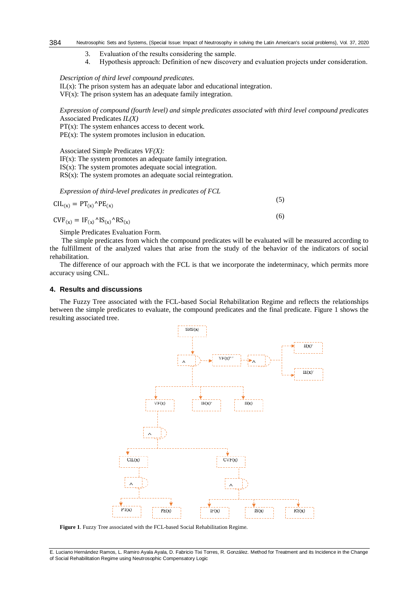#### Neutrosophic Sets and Systems, {Special Issue: Impact of Neutrosophy in solving the Latin American's social problems}, Vol. 37, 2020 384

- 3. Evaluation of the results considering the sample.
- 4. Hypothesis approach: Definition of new discovery and evaluation projects under consideration.

*Description of third level compound predicates.*  $IL(x)$ : The prison system has an adequate labor and educational integration.  $VF(x)$ : The prison system has an adequate family integration.

*Expression of compound (fourth level) and simple predicates associated with third level compound predicates* Associated Predicates *IL(X)*

 $PT(x)$ : The system enhances access to decent work.

 $PE(x)$ : The system promotes inclusion in education.

Associated Simple Predicates *VF(X):*

IF(x): The system promotes an adequate family integration.

 $IS(x)$ : The system promotes adequate social integration.

 $RS(x)$ : The system promotes an adequate social reintegration.

*Expression of third-level predicates in predicates of FCL*

$$
CIL_{(x)} = PT_{(x)} \wedge PE_{(x)}
$$
\n<sup>(5)</sup>

 $CVF_{(x)} = IF_{(x)}^{\wedge}IS_{(x)}^{\wedge}RS_{(x)}$ 

Simple Predicates Evaluation Form.

The simple predicates from which the compound predicates will be evaluated will be measured according to the fulfillment of the analyzed values that arise from the study of the behavior of the indicators of social rehabilitation.

(5)

The difference of our approach with the FCL is that we incorporate the indeterminacy, which permits more accuracy using CNL.

# **4. Results and discussions**

The Fuzzy Tree associated with the FCL-based Social Rehabilitation Regime and reflects the relationships between the simple predicates to evaluate, the compound predicates and the final predicate. Figure 1 shows the resulting associated tree.



**Figure 1**. Fuzzy Tree associated with the FCL-based Social Rehabilitation Regime.

E. Luciano Hernández Ramos, L. Ramiro Ayala Ayala, D. Fabricio Tixi Torres, R. González. Method for Treatment and its Incidence in the Change of Social Rehabilitation Regime using Neutrosophic Compensatory Logic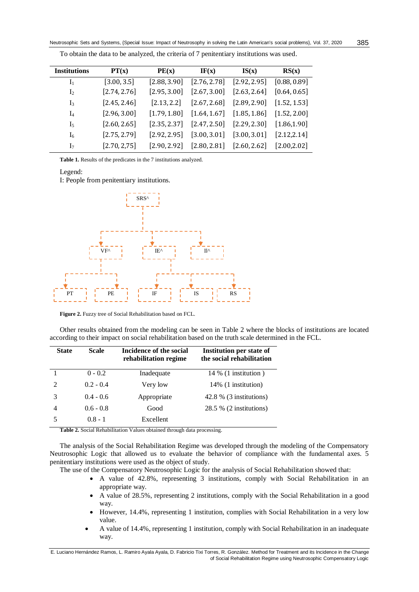| <b>Institutions</b> | PT(x)        | PE(x)        | IF(x)                         | IS(x)                                                                                                                            | RS(x)        |
|---------------------|--------------|--------------|-------------------------------|----------------------------------------------------------------------------------------------------------------------------------|--------------|
| I <sub>1</sub>      | [3.00, 3.5]  | [2.88, 3.90] | [2.76, 2.78]                  | [2.92, 2.95]                                                                                                                     | [0.88, 0.89] |
| I <sub>2</sub>      | [2.74, 2.76] | [2.95, 3.00] | [2.67, 3.00]                  | [2.63, 2.64]                                                                                                                     | [0.64, 0.65] |
| I <sub>3</sub>      | [2.45, 2.46] | [2.13.2.2]   | $[2.67, 2.68]$ $[2.89, 2.90]$ |                                                                                                                                  | [1.52, 1.53] |
| $I_4$               | [2.96, 3.00] | [1.79, 1.80] |                               | $\begin{bmatrix} 1.64, 1.67 \end{bmatrix}$ $\begin{bmatrix} 1.85, 1.86 \end{bmatrix}$ $\begin{bmatrix} 1.52, 2.00 \end{bmatrix}$ |              |
| I5                  | [2.60, 2.65] | [2.35, 2.37] | $[2.47, 2.50]$ $[2.29, 2.30]$ |                                                                                                                                  | [1.86, 1.90] |
| I <sub>6</sub>      | [2.75, 2.79] | [2.92, 2.95] | $[3.00, 3.01]$ $[3.00, 3.01]$ |                                                                                                                                  | [2.12, 2.14] |
| I <sub>7</sub>      | [2.70, 2.75] | [2.90.2.92]  | $[2.80, 2.81]$ $[2.60, 2.62]$ |                                                                                                                                  | [2.00.2.02]  |

To obtain the data to be analyzed, the criteria of 7 penitentiary institutions was used.

**Table 1.** Results of the predicates in the 7 institutions analyzed.

Legend:

I: People from penitentiary institutions.



**Figure 2.** Fuzzy tree of Social Rehabilitation based on FCL.

Other results obtained from the modeling can be seen in Table 2 where the blocks of institutions are located according to their impact on social rehabilitation based on the truth scale determined in the FCL.

| <b>State</b>   | Scale       | Incidence of the social<br>rehabilitation regime | <b>Institution per state of</b><br>the social rehabilitation |
|----------------|-------------|--------------------------------------------------|--------------------------------------------------------------|
| 1              | $0 - 0.2$   | Inadequate                                       | $14\%$ (1 institution)                                       |
| $\mathfrak{D}$ | $0.2 - 0.4$ | Very low                                         | 14% (1 institution)                                          |
| 3              | $0.4 - 0.6$ | Appropriate                                      | 42.8 % (3 institutions)                                      |
| 4              | $0.6 - 0.8$ | Good                                             | 28.5 % (2 institutions)                                      |
| 5              | $0.8 - 1$   | Excellent                                        |                                                              |

**Table 2.** Social Rehabilitation Values obtained through data processing.

The analysis of the Social Rehabilitation Regime was developed through the modeling of the Compensatory Neutrosophic Logic that allowed us to evaluate the behavior of compliance with the fundamental axes. 5 penitentiary institutions were used as the object of study.

The use of the Compensatory Neutrosophic Logic for the analysis of Social Rehabilitation showed that:

- A value of 42.8%, representing 3 institutions, comply with Social Rehabilitation in an appropriate way.
- A value of 28.5%, representing 2 institutions, comply with the Social Rehabilitation in a good way.
- However, 14.4%, representing 1 institution, complies with Social Rehabilitation in a very low value.
- A value of 14.4%, representing 1 institution, comply with Social Rehabilitation in an inadequate way.

E. Luciano Hernández Ramos, L. Ramiro Ayala Ayala, D. Fabricio Tixi Torres, R. González. Method for Treatment and its Incidence in the Change of Social Rehabilitation Regime using Neutrosophic Compensatory Logic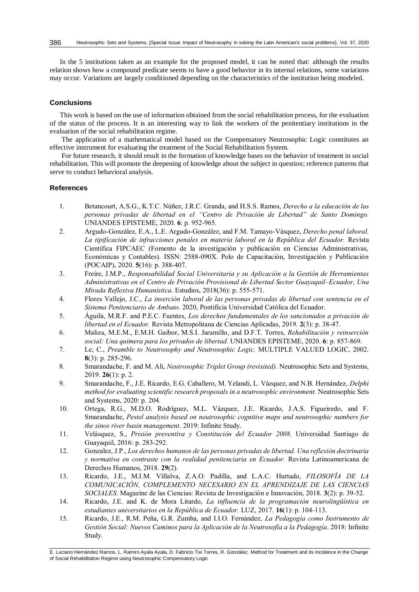In the 5 institutions taken as an example for the proposed model, it can be noted that: although the results relation shows how a compound predicate seems to have a good behavior in its internal relations, some variations may occur. Variations are largely conditioned depending on the characteristics of the institution being modeled.

#### **Conclusions**

This work is based on the use of information obtained from the social rehabilitation process, for the evaluation of the status of the process. It is an interesting way to link the workers of the penitentiary institutions in the evaluation of the social rehabilitation regime.

The application of a mathematical model based on the Compensatory Neutrosophic Logic constitutes an effective instrument for evaluating the treatment of the Social Rehabilitation System.

For future research, it should result in the formation of knowledge bases on the behavior of treatment in social rehabilitation. This will promote the deepening of knowledge about the subject in question; reference patterns that serve to conduct behavioral analysis.

# **References**

- 1. Betancourt, A.S.G., K.T.C. Núñez, J.R.C. Granda, and H.S.S. Ramos, *Derecho a la educación de las personas privadas de libertad en el "Centro de Privación de Libertad" de Santo Domingo.* UNIANDES EPISTEME, 2020. **6**: p. 952-965.
- 2. Argudo-González, E.A., L.E. Argudo-González, and F.M. Tamayo-Vásquez, *Derecho penal laboral. La tipificación de infracciones penales en materia laboral en la República del Ecuador.* Revista Científica FIPCAEC (Fomento de la investigación y publicación en Ciencias Administrativas, Económicas y Contables). ISSN: 2588-090X. Polo de Capacitación, Investigación y Publicación (POCAIP), 2020. **5**(16): p. 388-407.
- 3. Freire, J.M.P., *Responsabilidad Social Universitaria y su Aplicación a la Gestión de Herramientas Administrativas en el Centro de Privación Provisional de Libertad Sector Guayaquil–Ecuador, Una Mirada Reflexiva Humanística.* Estudios, 2018(36): p. 555-571.
- 4. Flores Vallejo, J.C., *La inserción laboral de las personas privadas de libertad con sentencia en el Sistema Penitenciario de Ambato*. 2020, Pontificia Universidad Católica del Ecuador.
- 5. Águila, M.R.F. and P.E.C. Fuentes, *Los derechos fundamentales de los sancionados a privación de libertad en el Ecuador.* Revista Metropolitana de Ciencias Aplicadas, 2019. **2**(3): p. 38-47.
- 6. Maliza, M.E.M., E.M.H. Gaibor, M.S.I. Jaramillo, and D.F.T. Torres, *Rehabilitación y reinserción social: Una quimera para los privados de libertad.* UNIANDES EPISTEME, 2020. **6**: p. 857-869.
- 7. Le, C., *Preamble to Neutrosophy and Neutrosophic Logic.* MULTIPLE VALUED LOGIC, 2002. **8**(3): p. 285-296.
- 8. Smarandache, F. and M. Ali, *Neutrosophic Triplet Group (revisited).* Neutrosophic Sets and Systems, 2019. **26**(1): p. 2.
- 9. Smarandache, F., J.E. Ricardo, E.G. Caballero, M. Yelandi, L. Vázquez, and N.B. Hernández, *Delphi method for evaluating scientific research proposals in a neutrosophic environment.* Neutrosophic Sets and Systems, 2020: p. 204.
- 10. Ortega, R.G., M.D.O. Rodríguez, M.L. Vázquez, J.E. Ricardo, J.A.S. Figueiredo, and F. Smarandache, *Pestel analysis based on neutrosophic cognitive maps and neutrosophic numbers for the sinos river basin management*. 2019: Infinite Study.
- 11. Velásquez, S., *Prisión preventiva y Constitución del Ecuador 2008.* Universidad Santiago de Guayaquil, 2016: p. 283-292.
- 12. Gonzalez, J.P., *Los derechos humanos de las personas privadas de libertad. Una reflexión doctrinaria y normativa en contraste con la realidad penitenciaria en Ecuador.* Revista Latinoamericana de Derechos Humanos, 2018. **29**(2).
- 13. Ricardo, J.E., M.I.M. Villalva, Z.A.O. Padilla, and L.A.C. Hurtado, *FILOSOFÍA DE LA COMUNICACIÓN, COMPLEMENTO NECESARIO EN EL APRENDIZAJE DE LAS CIENCIAS SOCIALES.* Magazine de las Ciencias: Revista de Investigación e Innovación, 2018. **3**(2): p. 39-52.
- 14. Ricardo, J.E. and K. de Mora Litardo, *La influencia de la programación neurolingüística en estudiantes universitarios en la República de Ecuador.* LUZ, 2017. **16**(1): p. 104-113.
- 15. Ricardo, J.E., R.M. Peña, G.R. Zumba, and I.I.O. Fernández, *La Pedagogía como Instrumento de Gestión Social: Nuevos Caminos para la Aplicación de la Neutrosofía a la Pedagogía*. 2018: Infinite Study.

E. Luciano Hernández Ramos, L. Ramiro Ayala Ayala, D. Fabricio Tixi Torres, R. González. Method for Treatment and its Incidence in the Change of Social Rehabilitation Regime using Neutrosophic Compensatory Logic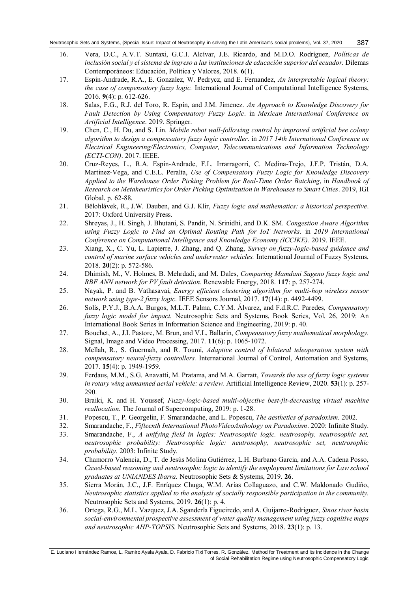- 16. Vera, D.C., A.V.T. Suntaxi, G.C.I. Alcívar, J.E. Ricardo, and M.D.O. Rodríguez, *Políticas de inclusión social y el sistema de ingreso a las instituciones de educación superior del ecuador.* Dilemas Contemporáneos: Educación, Política y Valores, 2018. **6**(1).
- 17. Espin-Andrade, R.A., E. Gonzalez, W. Pedrycz, and E. Fernandez, *An interpretable logical theory: the case of compensatory fuzzy logic.* International Journal of Computational Intelligence Systems, 2016. **9**(4): p. 612-626.
- 18. Salas, F.G., R.J. del Toro, R. Espin, and J.M. Jimenez. *An Approach to Knowledge Discovery for Fault Detection by Using Compensatory Fuzzy Logic*. in *Mexican International Conference on Artificial Intelligence*. 2019. Springer.
- 19. Chen, C., H. Du, and S. Lin. *Mobile robot wall-following control by improved artificial bee colony algorithm to design a compensatory fuzzy logic controller*. in *2017 14th International Conference on Electrical Engineering/Electronics, Computer, Telecommunications and Information Technology (ECTI-CON)*. 2017. IEEE.
- 20. Cruz-Reyes, L., R.A. Espin-Andrade, F.L. Irrarragorri, C. Medina-Trejo, J.F.P. Tristán, D.A. Martinez-Vega, and C.E.L. Peralta, *Use of Compensatory Fuzzy Logic for Knowledge Discovery Applied to the Warehouse Order Picking Problem for Real-Time Order Batching*, in *Handbook of Research on Metaheuristics for Order Picking Optimization in Warehouses to Smart Cities*. 2019, IGI Global. p. 62-88.
- 21. Bělohlávek, R., J.W. Dauben, and G.J. Klir, *Fuzzy logic and mathematics: a historical perspective*. 2017: Oxford University Press.
- 22. Shreyas, J., H. Singh, J. Bhutani, S. Pandit, N. Srinidhi, and D.K. SM. *Congestion Aware Algorithm using Fuzzy Logic to Find an Optimal Routing Path for IoT Networks*. in *2019 International Conference on Computational Intelligence and Knowledge Economy (ICCIKE)*. 2019. IEEE.
- 23. Xiang, X., C. Yu, L. Lapierre, J. Zhang, and Q. Zhang, *Survey on fuzzy-logic-based guidance and control of marine surface vehicles and underwater vehicles.* International Journal of Fuzzy Systems, 2018. **20**(2): p. 572-586.
- 24. Dhimish, M., V. Holmes, B. Mehrdadi, and M. Dales, *Comparing Mamdani Sugeno fuzzy logic and RBF ANN network for PV fault detection.* Renewable Energy, 2018. **117**: p. 257-274.
- 25. Nayak, P. and B. Vathasavai, *Energy efficient clustering algorithm for multi-hop wireless sensor network using type-2 fuzzy logic.* IEEE Sensors Journal, 2017. **17**(14): p. 4492-4499.
- 26. Solís, P.Y.J., B.A.A. Burgos, M.L.T. Palma, C.Y.M. Álvarez, and F.d.R.C. Paredes, *Compensatory fuzzy logic model for impact.* Neutrosophic Sets and Systems, Book Series, Vol. 26, 2019: An International Book Series in Information Science and Engineering, 2019: p. 40.
- 27. Bouchet, A., J.I. Pastore, M. Brun, and V.L. Ballarin, *Compensatory fuzzy mathematical morphology.* Signal, Image and Video Processing, 2017. **11**(6): p. 1065-1072.
- 28. Mellah, R., S. Guermah, and R. Toumi, *Adaptive control of bilateral teleoperation system with compensatory neural-fuzzy controllers.* International Journal of Control, Automation and Systems, 2017. **15**(4): p. 1949-1959.
- 29. Ferdaus, M.M., S.G. Anavatti, M. Pratama, and M.A. Garratt, *Towards the use of fuzzy logic systems in rotary wing unmanned aerial vehicle: a review.* Artificial Intelligence Review, 2020. **53**(1): p. 257- 290.
- 30. Braiki, K. and H. Youssef, *Fuzzy-logic-based multi-objective best-fit-decreasing virtual machine reallocation.* The Journal of Supercomputing, 2019: p. 1-28.
- 31. Popescu, T., P. Georgelin, F. Smarandache, and L. Popescu, *The aesthetics of paradoxism.* 2002.
- 32. Smarandache, F., *Fifteenth International PhotoVideoAnthology on Paradoxism*. 2020: Infinite Study.
- 33. Smarandache, F., *A unifying field in logics: Neutrosophic logic. neutrosophy, neutrosophic set, neutrosophic probability: Neutrosophic logic: neutrosophy, neutrosophic set, neutrosophic probability*. 2003: Infinite Study.
- 34. Chamorro Valencia, D., T. de Jesús Molina Gutiérrez, L.H. Burbano Garcia, and A.A. Cadena Posso, *Cased-based reasoning and neutrosophic logic to identify the employment limitations for Law school graduates at UNIANDES Ibarra.* Neutrosophic Sets & Systems, 2019. **26**.
- 35. Sierra Morán, J.C., J.F. Enríquez Chuga, W.M. Arias Collaguazo, and C.W. Maldonado Gudiño, *Neutrosophic statistics applied to the analysis of socially responsible participation in the community.* Neutrosophic Sets and Systems, 2019. **26**(1): p. 4.
- 36. Ortega, R.G., M.L. Vazquez, J.A. Sganderla Figueiredo, and A. Guijarro-Rodriguez, *Sinos river basin social-environmental prospective assessment of water quality management using fuzzy cognitive maps and neutrosophic AHP-TOPSIS.* Neutrosophic Sets and Systems, 2018. **23**(1): p. 13.

E. Luciano Hernández Ramos, L. Ramiro Ayala Ayala, D. Fabricio Tixi Torres, R. González. Method for Treatment and its Incidence in the Change of Social Rehabilitation Regime using Neutrosophic Compensatory Logic